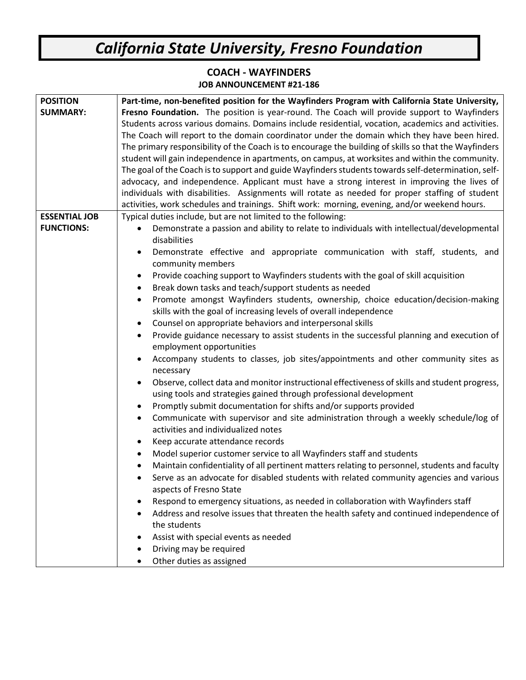## *California State University, Fresno Foundation*

## **COACH - WAYFINDERS JOB ANNOUNCEMENT #21-186**

| <b>POSITION</b>      | Part-time, non-benefited position for the Wayfinders Program with California State University,             |
|----------------------|------------------------------------------------------------------------------------------------------------|
| <b>SUMMARY:</b>      | Fresno Foundation. The position is year-round. The Coach will provide support to Wayfinders                |
|                      | Students across various domains. Domains include residential, vocation, academics and activities.          |
|                      | The Coach will report to the domain coordinator under the domain which they have been hired.               |
|                      | The primary responsibility of the Coach is to encourage the building of skills so that the Wayfinders      |
|                      | student will gain independence in apartments, on campus, at worksites and within the community.            |
|                      | The goal of the Coach is to support and guide Wayfinders students towards self-determination, self-        |
|                      | advocacy, and independence. Applicant must have a strong interest in improving the lives of                |
|                      | individuals with disabilities. Assignments will rotate as needed for proper staffing of student            |
|                      | activities, work schedules and trainings. Shift work: morning, evening, and/or weekend hours.              |
| <b>ESSENTIAL JOB</b> | Typical duties include, but are not limited to the following:                                              |
| <b>FUNCTIONS:</b>    | Demonstrate a passion and ability to relate to individuals with intellectual/developmental<br>$\bullet$    |
|                      | disabilities                                                                                               |
|                      | Demonstrate effective and appropriate communication with staff, students, and                              |
|                      | community members                                                                                          |
|                      | Provide coaching support to Wayfinders students with the goal of skill acquisition<br>$\bullet$            |
|                      | Break down tasks and teach/support students as needed<br>$\bullet$                                         |
|                      | Promote amongst Wayfinders students, ownership, choice education/decision-making<br>$\bullet$              |
|                      | skills with the goal of increasing levels of overall independence                                          |
|                      | Counsel on appropriate behaviors and interpersonal skills<br>$\bullet$                                     |
|                      | Provide guidance necessary to assist students in the successful planning and execution of<br>$\bullet$     |
|                      | employment opportunities                                                                                   |
|                      | Accompany students to classes, job sites/appointments and other community sites as<br>$\bullet$            |
|                      | necessary                                                                                                  |
|                      | Observe, collect data and monitor instructional effectiveness of skills and student progress,<br>$\bullet$ |
|                      | using tools and strategies gained through professional development                                         |
|                      | Promptly submit documentation for shifts and/or supports provided<br>$\bullet$                             |
|                      | Communicate with supervisor and site administration through a weekly schedule/log of<br>$\bullet$          |
|                      | activities and individualized notes                                                                        |
|                      | Keep accurate attendance records<br>$\bullet$                                                              |
|                      | Model superior customer service to all Wayfinders staff and students<br>$\bullet$                          |
|                      | Maintain confidentiality of all pertinent matters relating to personnel, students and faculty              |
|                      | Serve as an advocate for disabled students with related community agencies and various                     |
|                      | aspects of Fresno State                                                                                    |
|                      | Respond to emergency situations, as needed in collaboration with Wayfinders staff<br>٠                     |
|                      | Address and resolve issues that threaten the health safety and continued independence of                   |
|                      | the students                                                                                               |
|                      | Assist with special events as needed                                                                       |
|                      | Driving may be required                                                                                    |
|                      | Other duties as assigned                                                                                   |